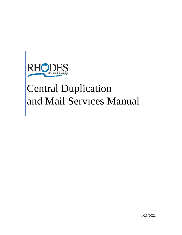

# Central Duplication and Mail Services Manual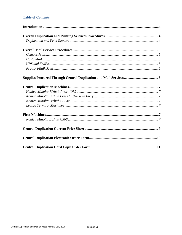# **Table of Contents**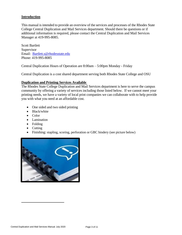# **Introduction**

This manual is intended to provide an overview of the services and processes of the Rhodes State College Central Duplication and Mail Services department. Should there be questions or if additional information is required, please contact the Central Duplication and Mail Services Manager at 419-995-8085.

Scott Bartlett Supervisor Email: [Bartlett.s@rhodesstate.edu](mailto:Bartlett.s@rhodesstate.edu) Phone: 419-995-8085

Central Duplication Hours of Operation are 8:00am – 5:00pm Monday - Friday

Central Duplication is a cost shared department serving both Rhodes State College and OSU

# **Duplication and Printing Services Available**

The Rhodes State College Duplication and Mail Services department is here to serve the campus community by offering a variety of services including those listed below. If we cannot meet your printing needs, we have a variety of local print companies we can collaborate with to help provide you with what you need at an affordable cost.

- One sided and two sided printing
- Black/white
- $\bullet$  Color
- Lamination
- Folding
- Cutting
- Finishing: stapling, scoring, perforation or GBC bindery (see picture below)

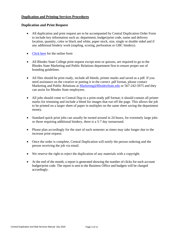## **Duplication and Printing Services Procedures**

#### **Duplication and Print Request**

- All duplication and print request are to be accompanied by Central Duplication Order Form to include key information such as: department, budget/print code, name and delivery location, quantity, color or black and white, paper stock, size, single or double sided and if any additional bindery work (stapling, scoring, perforation or GBC bindery).
- [Click here](https://form.jotform.com/213015612059143) for the online form
- All Rhodes State College print request except tests or quizzes, are required to go to the Rhodes State Marketing and Public Relations department first to ensure proper use of branding guidelines.
- All files should be print ready, include all bleeds, printer marks and saved as a pdf. If you need assistance on the creative or putting it in the correct .pdf format, please contact Marketing and Public Relations at [Marketing@RhodesState.edu](mailto:Marketing@RhodesState.edu) or 567-242-5975 and they can assist for Rhodes State employees.
- All jobs should come to Central Dup in a print-ready pdf format; it should contain all printer marks for trimming and include a bleed for images that run off the page. This allows the job to be printed on a larger sheet of paper in multiples on the same sheet saving the department money.
- Standard quick print jobs can usually be turned around in 24 hours, for extremely large jobs or those requiring additional bindery, there is a 5-7 day turnaround.
- Please plan accordingly for the start of each semester as times may take longer due to the increase print request.
- Once the order is complete, Central Duplication will notify the person ordering and the person receiving the job via email.
- We reserve the right to reject the duplication of any materials with a copyright.
- At the end of the month, a report is generated showing the number of clicks for each account budget/print code. The report is sent to the Business Office and budgets will be charged accordingly.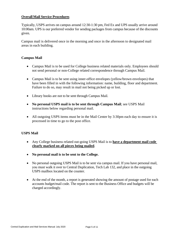# **OverallMail Service Procedures**

Typically, USPS arrives on campus around 12:30-1:30 pm, Fed Ex and UPS usually arrive around 10:00am. UPS is our preferred vendor for sending packages from campus because of the discounts given.

Campus mail is delivered once in the morning and once in the afternoon to designated mail areas in each building.

# **Campus Mail**

- Campus Mail is to be used for College business related materials only. Employees should not send personal or non-College related correspondence through Campus Mail.
- Campus Mail is to be sent using inner-office envelopes (yellow/brown envelopes) that have been filled in with the following information: name, building, floor and department. Failure to do so, may result in mail not being picked up or lost.
- Library books are not to be sent through Campus Mail.
- **No personal USPS mail is to be sent through Campus Mail**; see USPS Mail instructions below regarding personal mail.
- All outgoing USPS items must be in the Mail Center by 3:30pm each day to ensure it is processed in time to go to the post office.

## **USPS Mail**

- Any College business related out-going USPS Mail is to **have a department mail code clearly marked on all pieces being mailed**.
- **No personal mail is to be sent to the College.**
- No personal outgoing USPS Mail is to be sent via campus mail. If you have personal mail, you must walk it over to Central Duplication, Tech Lab 132, and place in the outgoing USPS mailbox located on the counter.
- At the end of the month, a report is generated showing the amount of postage used for each accounts budget/mail code. The report is sent to the Business Office and budgets will be charged accordingly.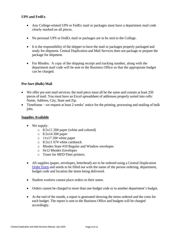# **UPS and FedEx**

- Any College-related UPS or FedEx mail or packages must have a department mail code clearly marked on all pieces.
- No personal UPS or FedEx mail or packages are to be sent to the College.
- It is the responsibility of the shipper to have the mail or packages properly packaged and ready for shipment. Central Duplication and Mail Services does not package or prepare the package for shipment.
- For Rhodes: A copy of the shipping receipt and tracking number, along with the department mail code will be sent to the Business Office so that the appropriate budget can be charged.

# **Pre-Sort (Bulk) Mail**

- We offer pre-sort mail services; the mail piece must all be the same and contain at least 250 pieces of mail. You must have an Excel spreadsheet of addresses properly sorted into cells: Name, Address, City, State and Zip.
- Timeframe we request at least 2 weeks' notice for the printing, processing and mailing of bulk jobs.

# **Supplies Available**

- We supply:
	- o 8.5x11 20# paper (white and colored)
	- $\circ$  8.5x14 20# paper
	- $\circ$  11x17 20# white paper
	- o 8.5x11 67# white cardstock
	- o Rhodes State #10 Regular and Window envelopes
	- o 9x12 Rhodes Envelopes
	- o Toner for MFD Fleet printers.
- All supplies (paper, envelopes, letterhead) are to be ordered using a Central Duplication [Order Form](https://form.jotform.com/213015612059143) and needs to be filled out with the name of the person ordering, department, budget code and location the items being delivered.
- Student workers cannot place orders in their name.
- Orders cannot be charged to more than one budget code or to another department's budget.
- At the end of the month, a report is generated showing the items ordered and the costs for each budget. The report is sent to the Business Office and budgets will be charged accordingly.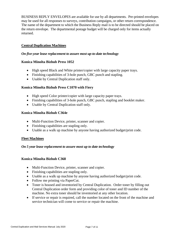BUSINESS REPLY ENVELOPES are available for use by all departments. Pre-printed envelopes may be used for all responses to surveys, contribution campaigns, or other return correspondence. The name of the department to which the Business Reply mail is to be directed should be placed on the return envelope. The departmental postage budget will be charged only for items actually returned.

# **Central Duplication Machines**

## *On five-year lease replacement to assure most up-to-date technology*

# **Konica Minolta Bizhub Press 1052**

- High speed Black and White printer/copier with large capacity paper trays.
- Finishing capabilities of 3-hole punch, GBC punch and stapling.
- Usable by Central Duplication staff only.

# **Konica Minolta Bizhub Press C1070 with Fiery**

- High speed Color printer/copier with large capacity paper trays.
- Finishing capabilities of 3-hole punch, GBC punch, stapling and booklet maker.
- Usable by Central Duplication staff only.

## **Konica Minolta Bizhub C364e**

- Multi-Function Device, printer, scanner and copier.
- Finishing capabilities are stapling only.
- Usable as a walk up machine by anyone having authorized budget/print code.

## **Fleet Machines**

## *On 5 year lease replacement to assure most up to date technology*

## **Konica Minolta Bizhub C368**

- Multi-Function Device, printer, scanner and copier.
- Finishing capabilities are stapling only.
- Usable as a walk up machine by anyone having authorized budget/print code.
- Follow me printing via PaperCut.
- Toner is housed and inventoried by Central Duplication. Order toner by filling out Central Duplication order form and providing color of toner and ID number of the machine. No extra toner should be inventoried at any other location.
- If service or repair is required, call the number located on the front of the machine and service technician will come to service or repair the machine.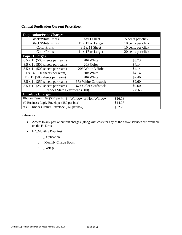# **Central Duplication Current Price Sheet**

| <b>Duplication/Print Charges</b>                               |                          |                    |
|----------------------------------------------------------------|--------------------------|--------------------|
| <b>Black/White Prints</b>                                      | 8.5x11 Sheet             | 5 cents per click  |
| <b>Black/White Prints</b>                                      | $11 \times 17$ or Larger | 10 cents per click |
| <b>Color Prints</b>                                            | 8.5 x 11 Sheet           | 10 cents per click |
| <b>Color Prints</b>                                            | $11 \times 17$ or Larger | 20 cents per click |
| <b>Paper Charges</b>                                           |                          |                    |
| 8.5 x 11 (500 sheets per ream)                                 | 20# White                | \$3.73             |
| $8.5 \times 11$ (500 sheets per ream)                          | 20# Color                | \$4.14             |
| $8.5 \times 11$ (500 sheets per ream)                          | 20# White 3 Hole         | \$4.14             |
| $11 \times 14$ (500 sheets per ream)                           | 20# White                | \$4.14             |
| 11x 17 (500 sheets per ream)                                   | 20# White                | \$7.46             |
| $8.5 \times 11$ (250 sheets per ream)                          | 67# White Cardstock      | \$9.60             |
| $8.5 \times 11$ (250 sheets per ream)                          | 67# Color Cardstock      | \$9.60             |
| Rhodes State Letterhead (500)                                  |                          | \$68.65            |
| <b>Envelope Charges</b>                                        |                          |                    |
| Rhodes Return $10# (500 \text{ per box})$ Window or Non Window |                          | \$26.13            |
| $#9$ Business Reply Envelope (250 per box)                     |                          | \$14.28            |
| 9 x 12 Rhodes Return Envelope (250 per box)                    |                          | \$52.26            |

## **Reference**

- Access to any past or current charges (along with cost) for any of the above services are available on the H: Drive
- H:\\_Monthly Dup Post
	- o \_Duplication
	- o \_Monthly Charge Backs
	- o \_Postage